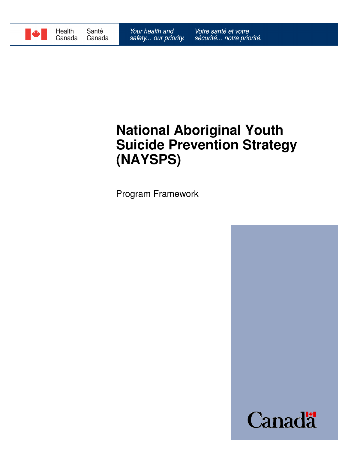

# **National Aboriginal Youth Suicide Prevention Strategy (NAYSPS)**

Program Framework

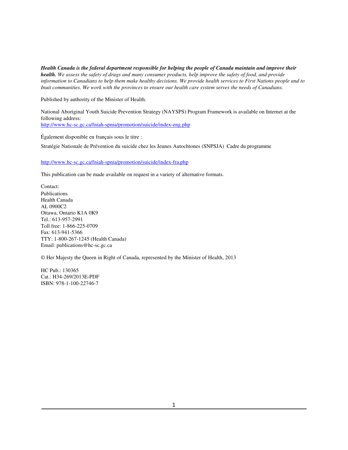*Health Canada is the federal department responsible for helping the people of Canada maintain and improve their health. We assess the safety of drugs and many consumer products, help improve the safety of food, and provide information to Canadians to help them make healthy decisions. We provide health services to First Nations people and to Inuit communities. We work with the provinces to ensure our health care system serves the needs of Canadians.*

Published by authority of the Minister of Health.

National Aboriginal Youth Suicide Prevention Strategy (NAYSPS) Program Framework is available on Internet at the following address: http://www.hc-sc.gc.ca/fniah-spnia/promotion/suicide/index-eng.php

Également disponible en français sous le titre :

Stratégie Nationale de Prévention du suicide chez les Jeunes Autochtones (SNPSJA) Cadre du programme

http://www.hc-sc.gc.ca/fniah-spnia/promotion/suicide/index-fra.php

This publication can be made available on request in a variety of alternative formats.

Contact: Publications Health Canada AL 0900C2 Ottawa, Ontario K1A 0K9 Tel.: 613-957-2991 Toll free: 1-866-225-0709 Fax: 613-941-5366 TTY: 1-800-267-1245 (Health Canada) Email: publications@hc-sc.gc.ca

© Her Majesty the Queen in Right of Canada, represented by the Minister of Health, 2013

HC Pub.: 130365 Cat.: H34-269/2013E-PDF ISBN: 978-1-100-22746-7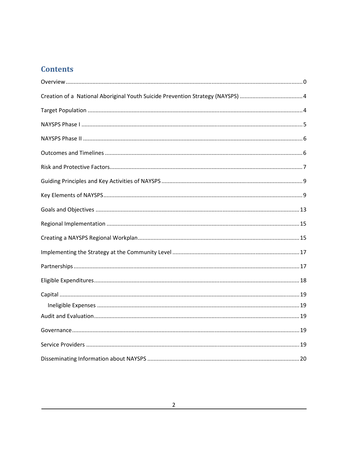### **Contents**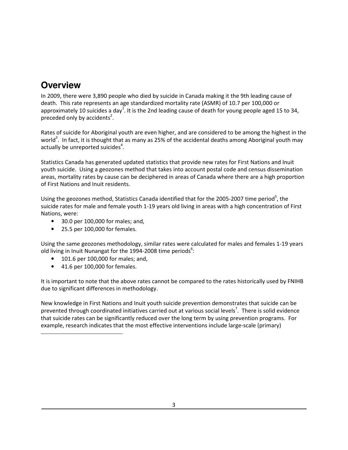### **Overview**

In 2009, there were 3,890 people who died by suicide in Canada making it the 9th leading cause of death. This rate represents an age standardized mortality rate (ASMR) of 10.7 per 100,000 or approximately 10 suicides a day<sup>1</sup>. It is the 2nd leading cause of death for young people aged 15 to 34, preceded only by accidents<sup>2</sup>.

Rates of suicide for Aboriginal youth are even higher, and are considered to be among the highest in the world<sup>3</sup>. In fact, it is thought that as many as 25% of the accidental deaths among Aboriginal youth may actually be unreported suicides<sup>4</sup>.

Statistics Canada has generated updated statistics that provide new rates for First Nations and Inuit youth suicide. Using a geozones method that takes into account postal code and census dissemination areas, mortality rates by cause can be deciphered in areas of Canada where there are a high proportion of First Nations and Inuit residents.

Using the geozones method, Statistics Canada identified that for the 2005-2007 time period<sup>5</sup>, the suicide rates for male and female youth 1-19 years old living in areas with a high concentration of First Nations, were:

- 30.0 per 100,000 for males; and,
- 25.5 per 100,000 for females.

Using the same geozones methodology, similar rates were calculated for males and females 1-19 years old living in Inuit Nunangat for the 1994-2008 time periods<sup>6</sup>:

- 101.6 per 100,000 for males; and,
- 41.6 per 100,000 for females.

 $\overline{a}$ 

It is important to note that the above rates cannot be compared to the rates historically used by FNIHB due to significant differences in methodology.

New knowledge in First Nations and Inuit youth suicide prevention demonstrates that suicide can be prevented through coordinated initiatives carried out at various social levels<sup>7</sup>. There is solid evidence that suicide rates can be significantly reduced over the long term by using prevention programs. For example, research indicates that the most effective interventions include large-scale (primary)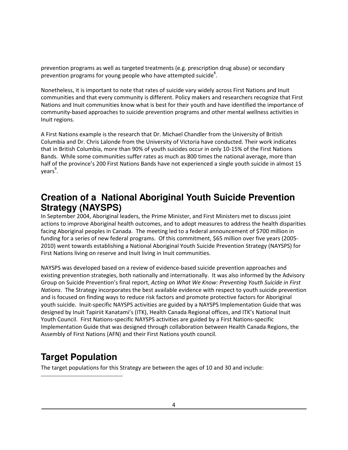prevention programs as well as targeted treatments (e.g. prescription drug abuse) or secondary prevention programs for young people who have attempted suicide<sup>8</sup>.

Nonetheless, it is important to note that rates of suicide vary widely across First Nations and Inuit communities and that every community is different. Policy makers and researchers recognize that First Nations and Inuit communities know what is best for their youth and have identified the importance of community-based approaches to suicide prevention programs and other mental wellness activities in Inuit regions.

A First Nations example is the research that Dr. Michael Chandler from the University of British Columbia and Dr. Chris Lalonde from the University of Victoria have conducted. Their work indicates that in British Columbia, more than 90% of youth suicides occur in only 10-15% of the First Nations Bands. While some communities suffer rates as much as 800 times the national average, more than half of the province's 200 First Nations Bands have not experienced a single youth suicide in almost 15 years<sup>9</sup>.

### **Creation of a National Aboriginal Youth Suicide Prevention Strategy (NAYSPS)**

In September 2004, Aboriginal leaders, the Prime Minister, and First Ministers met to discuss joint actions to improve Aboriginal health outcomes, and to adopt measures to address the health disparities facing Aboriginal peoples in Canada. The meeting led to a federal announcement of \$700 million in funding for a series of new federal programs. Of this commitment, \$65 million over five years (2005- 2010) went towards establishing a National Aboriginal Youth Suicide Prevention Strategy (NAYSPS) for First Nations living on reserve and Inuit living in Inuit communities.

NAYSPS was developed based on a review of evidence-based suicide prevention approaches and existing prevention strategies, both nationally and internationally. It was also informed by the Advisory Group on Suicide Prevention's final report, *Acting on What We Know: Preventing Youth Suicide in First Nations*. The Strategy incorporates the best available evidence with respect to youth suicide prevention and is focused on finding ways to reduce risk factors and promote protective factors for Aboriginal youth suicide. Inuit-specific NAYSPS activities are guided by a NAYSPS Implementation Guide that was designed by Inuit Tapiriit Kanatami's (ITK), Health Canada Regional offices, and ITK's National Inuit Youth Council. First Nations-specific NAYSPS activities are guided by a First Nations-specific Implementation Guide that was designed through collaboration between Health Canada Regions, the Assembly of First Nations (AFN) and their First Nations youth council.

## **Target Population**

1

The target populations for this Strategy are between the ages of 10 and 30 and include: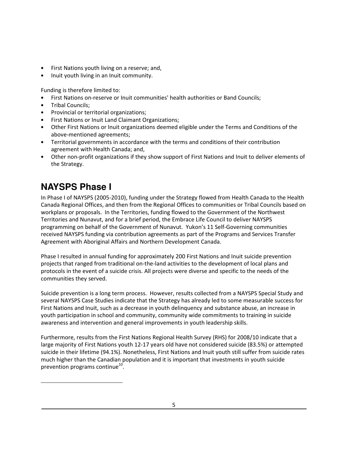- First Nations youth living on a reserve; and,
- Inuit youth living in an Inuit community.

Funding is therefore limited to:

- First Nations on-reserve or Inuit communities' health authorities or Band Councils;
- Tribal Councils;
- Provincial or territorial organizations;
- First Nations or Inuit Land Claimant Organizations;
- Other First Nations or Inuit organizations deemed eligible under the Terms and Conditions of the above-mentioned agreements;
- Territorial governments in accordance with the terms and conditions of their contribution agreement with Health Canada; and,
- Other non-profit organizations if they show support of First Nations and Inuit to deliver elements of the Strategy.

## **NAYSPS Phase I**

 $\overline{a}$ 

In Phase I of NAYSPS (2005-2010), funding under the Strategy flowed from Health Canada to the Health Canada Regional Offices, and then from the Regional Offices to communities or Tribal Councils based on workplans or proposals. In the Territories, funding flowed to the Government of the Northwest Territories and Nunavut, and for a brief period, the Embrace Life Council to deliver NAYSPS programming on behalf of the Government of Nunavut. Yukon's 11 Self-Governing communities received NAYSPS funding via contribution agreements as part of the Programs and Services Transfer Agreement with Aboriginal Affairs and Northern Development Canada.

Phase I resulted in annual funding for approximately 200 First Nations and Inuit suicide prevention projects that ranged from traditional on-the-land activities to the development of local plans and protocols in the event of a suicide crisis. All projects were diverse and specific to the needs of the communities they served.

Suicide prevention is a long term process. However, results collected from a NAYSPS Special Study and several NAYSPS Case Studies indicate that the Strategy has already led to some measurable success for First Nations and Inuit, such as a decrease in youth delinquency and substance abuse, an increase in youth participation in school and community, community wide commitments to training in suicide awareness and intervention and general improvements in youth leadership skills.

Furthermore, results from the First Nations Regional Health Survey (RHS) for 2008/10 indicate that a large majority of First Nations youth 12-17 years old have not considered suicide (83.5%) or attempted suicide in their lifetime (94.1%). Nonetheless, First Nations and Inuit youth still suffer from suicide rates much higher than the Canadian population and it is important that investments in youth suicide prevention programs continue $^{10}$ .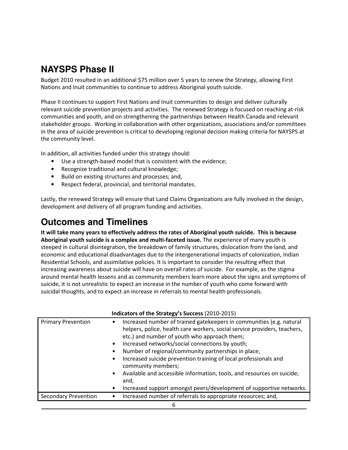## **NAYSPS Phase II**

Budget 2010 resulted in an additional \$75 million over 5 years to renew the Strategy, allowing First Nations and Inuit communities to continue to address Aboriginal youth suicide.

Phase II continues to support First Nations and Inuit communities to design and deliver culturally relevant suicide prevention projects and activities. The renewed Strategy is focused on reaching at-risk communities and youth, and on strengthening the partnerships between Health Canada and relevant stakeholder groups. Working in collaboration with other organizations, associations and/or committees in the area of suicide prevention is critical to developing regional decision making criteria for NAYSPS at the community level.

In addition, all activities funded under this strategy should:

- Use a strength-based model that is consistent with the evidence;
- Recognize traditional and cultural knowledge;
- Build on existing structures and processes; and,
- Respect federal, provincial, and territorial mandates.

Lastly, the renewed Strategy will ensure that Land Claims Organizations are fully involved in the design, development and delivery of all program funding and activities.

### **Outcomes and Timelines**

**It will take many years to effectively address the rates of Aboriginal youth suicide. This is because Aboriginal youth suicide is a complex and multi-faceted issue.** The experience of many youth is steeped in cultural disintegration, the breakdown of family structures, dislocation from the land, and economic and educational disadvantages due to the intergenerational impacts of colonization, Indian Residential Schools, and assimilative policies. It is important to consider the resulting effect that increasing awareness about suicide will have on overall rates of suicide. For example, as the stigma around mental health lessens and as community members learn more about the signs and symptoms of suicide, it is not unrealistic to expect an increase in the number of youth who come forward with suicidal thoughts, and to expect an increase in referrals to mental health professionals.

| Indicators of the Strategy's Success (2010-2015) |                                                                                                                                                                                                                                                                                                                                                                                                                                                                                                                                                                |  |
|--------------------------------------------------|----------------------------------------------------------------------------------------------------------------------------------------------------------------------------------------------------------------------------------------------------------------------------------------------------------------------------------------------------------------------------------------------------------------------------------------------------------------------------------------------------------------------------------------------------------------|--|
| <b>Primary Prevention</b>                        | Increased number of trained gatekeepers in communities (e.g. natural<br>helpers, police, health care workers, social service providers, teachers,<br>etc.) and number of youth who approach them;<br>Increased networks/social connections by youth;<br>Number of regional/community partnerships in place;<br>Increased suicide prevention training of local professionals and<br>community members;<br>Available and accessible information, tools, and resources on suicide;<br>and,<br>Increased support amongst peers/development of supportive networks. |  |
| <b>Secondary Prevention</b>                      | Increased number of referrals to appropriate resources; and,                                                                                                                                                                                                                                                                                                                                                                                                                                                                                                   |  |
|                                                  |                                                                                                                                                                                                                                                                                                                                                                                                                                                                                                                                                                |  |

#### **Indicators of the Strategy's Success** (2010-2015)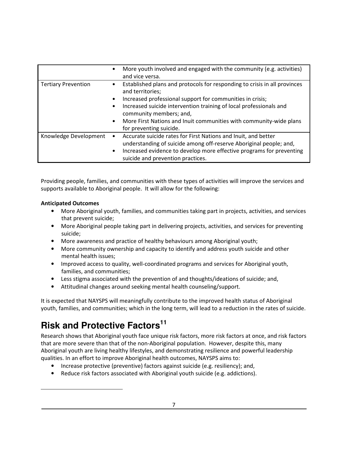|                            | More youth involved and engaged with the community (e.g. activities)<br>and vice versa.                                                                                                                                   |
|----------------------------|---------------------------------------------------------------------------------------------------------------------------------------------------------------------------------------------------------------------------|
| <b>Tertiary Prevention</b> | Established plans and protocols for responding to crisis in all provinces<br>$\bullet$<br>and territories;                                                                                                                |
|                            | Increased professional support for communities in crisis;                                                                                                                                                                 |
|                            | Increased suicide intervention training of local professionals and<br>$\bullet$<br>community members; and,                                                                                                                |
|                            | More First Nations and Inuit communities with community-wide plans<br>for preventing suicide.                                                                                                                             |
| Knowledge Development      | Accurate suicide rates for First Nations and Inuit, and better<br>understanding of suicide among off-reserve Aboriginal people; and,<br>Increased evidence to develop more effective programs for preventing<br>$\bullet$ |
|                            | suicide and prevention practices.                                                                                                                                                                                         |

Providing people, families, and communities with these types of activities will improve the services and supports available to Aboriginal people. It will allow for the following:

#### **Anticipated Outcomes**

 $\overline{a}$ 

- More Aboriginal youth, families, and communities taking part in projects, activities, and services that prevent suicide;
- More Aboriginal people taking part in delivering projects, activities, and services for preventing suicide;
- More awareness and practice of healthy behaviours among Aboriginal youth;
- More community ownership and capacity to identify and address youth suicide and other mental health issues;
- Improved access to quality, well-coordinated programs and services for Aboriginal youth, families, and communities;
- Less stigma associated with the prevention of and thoughts/ideations of suicide; and,
- Attitudinal changes around seeking mental health counseling/support.

It is expected that NAYSPS will meaningfully contribute to the improved health status of Aboriginal youth, families, and communities; which in the long term, will lead to a reduction in the rates of suicide.

## **Risk and Protective Factors<sup>11</sup>**

Research shows that Aboriginal youth face unique risk factors, more risk factors at once, and risk factors that are more severe than that of the non-Aboriginal population. However, despite this, many Aboriginal youth are living healthy lifestyles, and demonstrating resilience and powerful leadership qualities. In an effort to improve Aboriginal health outcomes, NAYSPS aims to:

- Increase protective (preventive) factors against suicide (e.g. resiliency); and,
- Reduce risk factors associated with Aboriginal youth suicide (e.g. addictions).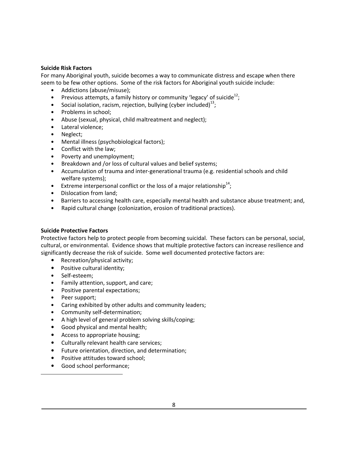#### **Suicide Risk Factors**

For many Aboriginal youth, suicide becomes a way to communicate distress and escape when there seem to be few other options. Some of the risk factors for Aboriginal youth suicide include:

- Addictions (abuse/misuse);
- Previous attempts, a family history or community 'legacy' of suicide<sup>12</sup>;
- Social isolation, racism, rejection, bullying (cyber included) $^{13}$ ;
- Problems in school;
- Abuse (sexual, physical, child maltreatment and neglect);
- Lateral violence;
- Neglect;
- Mental illness (psychobiological factors);
- Conflict with the law;
- Poverty and unemployment;
- Breakdown and /or loss of cultural values and belief systems;
- Accumulation of trauma and inter-generational trauma (e.g. residential schools and child welfare systems);
- Extreme interpersonal conflict or the loss of a major relationship<sup>14</sup>;
- Dislocation from land;
- Barriers to accessing health care, especially mental health and substance abuse treatment; and,
- Rapid cultural change (colonization, erosion of traditional practices).

#### **Suicide Protective Factors**

Protective factors help to protect people from becoming suicidal. These factors can be personal, social, cultural, or environmental. Evidence shows that multiple protective factors can increase resilience and significantly decrease the risk of suicide. Some well documented protective factors are:

- Recreation/physical activity;
- Positive cultural identity;
- Self-esteem;
- Family attention, support, and care;
- Positive parental expectations;
- Peer support;

1

- Caring exhibited by other adults and community leaders;
- Community self-determination;
- A high level of general problem solving skills/coping;
- Good physical and mental health;
- Access to appropriate housing;
- Culturally relevant health care services;
- Future orientation, direction, and determination;
- Positive attitudes toward school;
- Good school performance;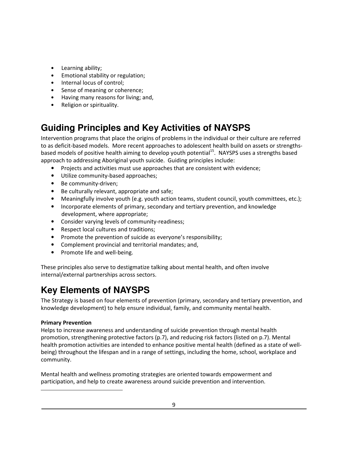- Learning ability;
- Emotional stability or regulation;
- Internal locus of control;
- Sense of meaning or coherence;
- Having many reasons for living; and,
- Religion or spirituality.

### **Guiding Principles and Key Activities of NAYSPS**

Intervention programs that place the origins of problems in the individual or their culture are referred to as deficit-based models. More recent approaches to adolescent health build on assets or strengthsbased models of positive health aiming to develop youth potential<sup>15</sup>. NAYSPS uses a strengths based approach to addressing Aboriginal youth suicide. Guiding principles include:

- Projects and activities must use approaches that are consistent with evidence;
- Utilize community-based approaches;
- Be community-driven;
- Be culturally relevant, appropriate and safe;
- Meaningfully involve youth (e.g. youth action teams, student council, youth committees, etc.);
- Incorporate elements of primary, secondary and tertiary prevention, and knowledge development, where appropriate;
- Consider varying levels of community-readiness;
- Respect local cultures and traditions;
- Promote the prevention of suicide as everyone's responsibility;
- Complement provincial and territorial mandates; and,
- Promote life and well-being.

These principles also serve to destigmatize talking about mental health, and often involve internal/external partnerships across sectors.

## **Key Elements of NAYSPS**

The Strategy is based on four elements of prevention (primary, secondary and tertiary prevention, and knowledge development) to help ensure individual, family, and community mental health.

#### **Primary Prevention**

1

Helps to increase awareness and understanding of suicide prevention through mental health promotion, strengthening protective factors (p.7), and reducing risk factors (listed on p.7). Mental health promotion activities are intended to enhance positive mental health (defined as a state of wellbeing) throughout the lifespan and in a range of settings, including the home, school, workplace and community.

Mental health and wellness promoting strategies are oriented towards empowerment and participation, and help to create awareness around suicide prevention and intervention.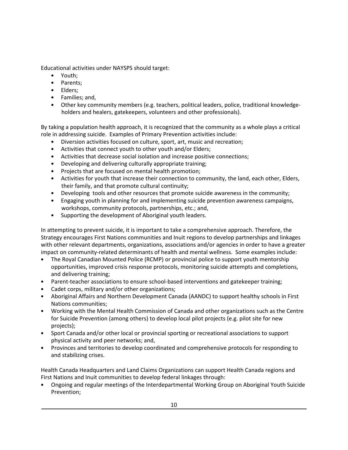Educational activities under NAYSPS should target:

- Youth;
- Parents;
- Elders;
- Families; and,
- Other key community members (e.g. teachers, political leaders, police, traditional knowledgeholders and healers, gatekeepers, volunteers and other professionals).

By taking a population health approach, it is recognized that the community as a whole plays a critical role in addressing suicide. Examples of Primary Prevention activities include:

- Diversion activities focused on culture, sport, art, music and recreation;
- Activities that connect youth to other youth and/or Elders;
- Activities that decrease social isolation and increase positive connections;
- Developing and delivering culturally appropriate training;
- Projects that are focused on mental health promotion;
- Activities for youth that increase their connection to community, the land, each other, Elders, their family, and that promote cultural continuity;
- Developing tools and other resources that promote suicide awareness in the community;
- Engaging youth in planning for and implementing suicide prevention awareness campaigns, workshops, community protocols, partnerships, etc.; and,
- Supporting the development of Aboriginal youth leaders.

In attempting to prevent suicide, it is important to take a comprehensive approach. Therefore, the Strategy encourages First Nations communities and Inuit regions to develop partnerships and linkages with other relevant departments, organizations, associations and/or agencies in order to have a greater impact on community-related determinants of health and mental wellness. Some examples include:

- The Royal Canadian Mounted Police (RCMP) or provincial police to support youth mentorship opportunities, improved crisis response protocols, monitoring suicide attempts and completions, and delivering training;
- Parent-teacher associations to ensure school-based interventions and gatekeeper training;
- Cadet corps, military and/or other organizations;
- Aboriginal Affairs and Northern Development Canada (AANDC) to support healthy schools in First Nations communities;
- Working with the Mental Health Commission of Canada and other organizations such as the Centre for Suicide Prevention (among others) to develop local pilot projects (e.g. pilot site for new projects);
- Sport Canada and/or other local or provincial sporting or recreational associations to support physical activity and peer networks; and,
- Provinces and territories to develop coordinated and comprehensive protocols for responding to and stabilizing crises.

Health Canada Headquarters and Land Claims Organizations can support Health Canada regions and First Nations and Inuit communities to develop federal linkages through:

• Ongoing and regular meetings of the Interdepartmental Working Group on Aboriginal Youth Suicide Prevention;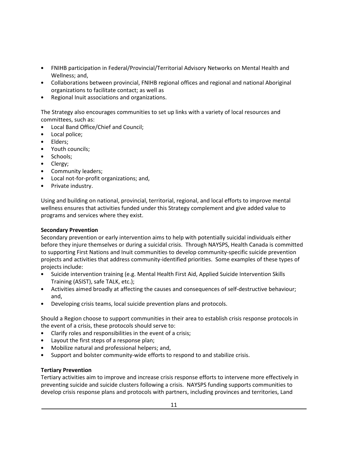- FNIHB participation in Federal/Provincial/Territorial Advisory Networks on Mental Health and Wellness; and,
- Collaborations between provincial, FNIHB regional offices and regional and national Aboriginal organizations to facilitate contact; as well as
- Regional Inuit associations and organizations.

The Strategy also encourages communities to set up links with a variety of local resources and committees, such as:

- Local Band Office/Chief and Council;
- Local police;
- Elders;
- Youth councils;
- Schools;
- Clergy;
- Community leaders;
- Local not-for-profit organizations; and,
- Private industry.

Using and building on national, provincial, territorial, regional, and local efforts to improve mental wellness ensures that activities funded under this Strategy complement and give added value to programs and services where they exist.

#### **Secondary Prevention**

Secondary prevention or early intervention aims to help with potentially suicidal individuals either before they injure themselves or during a suicidal crisis. Through NAYSPS, Health Canada is committed to supporting First Nations and Inuit communities to develop community-specific suicide prevention projects and activities that address community-identified priorities. Some examples of these types of projects include:

- Suicide intervention training (e.g. Mental Health First Aid, Applied Suicide Intervention Skills Training (ASIST), safe TALK, etc.);
- Activities aimed broadly at affecting the causes and consequences of self-destructive behaviour; and,
- Developing crisis teams, local suicide prevention plans and protocols.

Should a Region choose to support communities in their area to establish crisis response protocols in the event of a crisis, these protocols should serve to:

- Clarify roles and responsibilities in the event of a crisis;
- Layout the first steps of a response plan;
- Mobilize natural and professional helpers; and,
- Support and bolster community-wide efforts to respond to and stabilize crisis.

#### **Tertiary Prevention**

Tertiary activities aim to improve and increase crisis response efforts to intervene more effectively in preventing suicide and suicide clusters following a crisis. NAYSPS funding supports communities to develop crisis response plans and protocols with partners, including provinces and territories, Land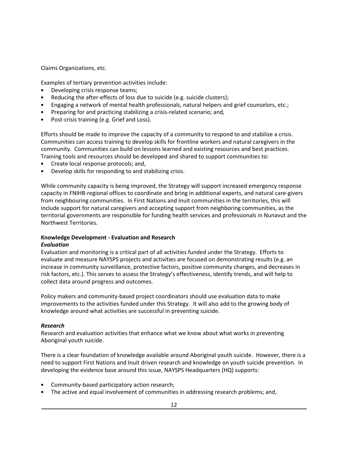Claims Organizations, etc.

Examples of tertiary prevention activities include:

- Developing crisis response teams;
- Reducing the after-effects of loss due to suicide (e.g. suicide clusters);
- Engaging a network of mental health professionals, natural helpers and grief counselors, etc.;
- Preparing for and practicing stabilizing a crisis-related scenario; and,
- Post-crisis training (e.g. Grief and Loss).

Efforts should be made to improve the capacity of a community to respond to and stabilize a crisis. Communities can access training to develop skills for frontline workers and natural caregivers in the community. Communities can build on lessons learned and existing resources and best practices. Training tools and resources should be developed and shared to support communities to:

- Create local response protocols; and,
- Develop skills for responding to and stabilizing crisis.

While community capacity is being improved, the Strategy will support increased emergency response capacity in FNIHB-regional offices to coordinate and bring in additional experts, and natural care-givers from neighbouring communities. In First Nations and Inuit communities in the territories, this will include support for natural caregivers and accepting support from neighboring communities, as the territorial governments are responsible for funding health services and professionals in Nunavut and the Northwest Territories.

#### **Knowledge Development - Evaluation and Research**  *Evaluation*

Evaluation and monitoring is a critical part of all activities funded under the Strategy. Efforts to evaluate and measure NAYSPS projects and activities are focused on demonstrating results (e.g. an increase in community surveillance, protective factors, positive community changes, and decreases in risk factors, etc.). This serves to assess the Strategy's effectiveness, identify trends, and will help to collect data around progress and outcomes.

Policy makers and community-based project coordinators should use evaluation data to make improvements to the activities funded under this Strategy. It will also add to the growing body of knowledge around what activities are successful in preventing suicide.

#### *Research*

Research and evaluation activities that enhance what we know about what works in preventing Aboriginal youth suicide.

There is a clear foundation of knowledge available around Aboriginal youth suicide. However, there is a need to support First Nations and Inuit driven research and knowledge on youth suicide prevention. In developing the evidence base around this issue, NAYSPS Headquarters (HQ) supports:

- Community-based participatory action research;
- The active and equal involvement of communities in addressing research problems; and,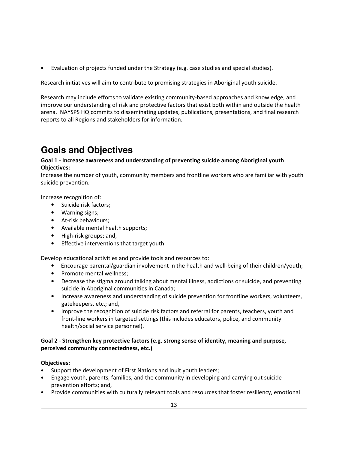• Evaluation of projects funded under the Strategy (e.g. case studies and special studies).

Research initiatives will aim to contribute to promising strategies in Aboriginal youth suicide.

Research may include efforts to validate existing community-based approaches and knowledge, and improve our understanding of risk and protective factors that exist both within and outside the health arena. NAYSPS HQ commits to disseminating updates, publications, presentations, and final research reports to all Regions and stakeholders for information.

## **Goals and Objectives**

#### **Goal 1 - Increase awareness and understanding of preventing suicide among Aboriginal youth Objectives:**

Increase the number of youth, community members and frontline workers who are familiar with youth suicide prevention.

Increase recognition of:

- Suicide risk factors;
- Warning signs;
- At-risk behaviours;
- Available mental health supports;
- High-risk groups; and,
- Effective interventions that target youth.

Develop educational activities and provide tools and resources to:

- Encourage parental/guardian involvement in the health and well-being of their children/youth;
- Promote mental wellness;
- Decrease the stigma around talking about mental illness, addictions or suicide, and preventing suicide in Aboriginal communities in Canada;
- Increase awareness and understanding of suicide prevention for frontline workers, volunteers, gatekeepers, etc.; and,
- Improve the recognition of suicide risk factors and referral for parents, teachers, youth and front-line workers in targeted settings (this includes educators, police, and community health/social service personnel).

#### **Goal 2 - Strengthen key protective factors (e.g. strong sense of identity, meaning and purpose, perceived community connectedness, etc.)**

#### **Objectives:**

- Support the development of First Nations and Inuit youth leaders;
- Engage youth, parents, families, and the community in developing and carrying out suicide prevention efforts; and,
- Provide communities with culturally relevant tools and resources that foster resiliency, emotional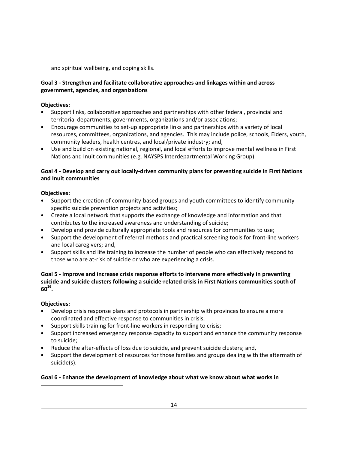and spiritual wellbeing, and coping skills.

#### **Goal 3 - Strengthen and facilitate collaborative approaches and linkages within and across government, agencies, and organizations**

#### **Objectives:**

- Support links, collaborative approaches and partnerships with other federal, provincial and territorial departments, governments, organizations and/or associations;
- Encourage communities to set-up appropriate links and partnerships with a variety of local resources, committees, organizations, and agencies. This may include police, schools, Elders, youth, community leaders, health centres, and local/private industry; and,
- Use and build on existing national, regional, and local efforts to improve mental wellness in First Nations and Inuit communities (e.g. NAYSPS Interdepartmental Working Group).

#### **Goal 4 - Develop and carry out locally-driven community plans for preventing suicide in First Nations and Inuit communities**

#### **Objectives:**

- Support the creation of community-based groups and youth committees to identify communityspecific suicide prevention projects and activities;
- Create a local network that supports the exchange of knowledge and information and that contributes to the increased awareness and understanding of suicide;
- Develop and provide culturally appropriate tools and resources for communities to use;
- Support the development of referral methods and practical screening tools for front-line workers and local caregivers; and,
- Support skills and life training to increase the number of people who can effectively respond to those who are at-risk of suicide or who are experiencing a crisis.

#### **Goal 5 - Improve and increase crisis response efforts to intervene more effectively in preventing suicide and suicide clusters following a suicide-related crisis in First Nations communities south of 60<sup>16</sup> .**

#### **Objectives:**

 $\overline{a}$ 

- Develop crisis response plans and protocols in partnership with provinces to ensure a more coordinated and effective response to communities in crisis;
- Support skills training for front-line workers in responding to crisis;
- Support increased emergency response capacity to support and enhance the community response to suicide;
- Reduce the after-effects of loss due to suicide, and prevent suicide clusters; and,
- Support the development of resources for those families and groups dealing with the aftermath of suicide(s).

#### **Goal 6 - Enhance the development of knowledge about what we know about what works in**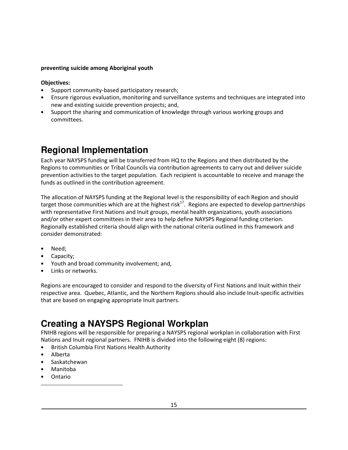#### **preventing suicide among Aboriginal youth**

#### **Objectives:**

- Support community-based participatory research;
- Ensure rigorous evaluation, monitoring and surveillance systems and techniques are integrated into new and existing suicide prevention projects; and,
- Support the sharing and communication of knowledge through various working groups and committees.

### **Regional Implementation**

Each year NAYSPS funding will be transferred from HQ to the Regions and then distributed by the Regions to communities or Tribal Councils via contribution agreements to carry out and deliver suicide prevention activities to the target population. Each recipient is accountable to receive and manage the funds as outlined in the contribution agreement.

The allocation of NAYSPS funding at the Regional level is the responsibility of each Region and should target those communities which are at the highest risk<sup>17</sup>. Regions are expected to develop partnerships with representative First Nations and Inuit groups, mental health organizations, youth associations and/or other expert committees in their area to help define NAYSPS Regional funding criterion. Regionally established criteria should align with the national criteria outlined in this framework and consider demonstrated:

- Need:
- Capacity;
- Youth and broad community involvement; and,
- Links or networks.

Regions are encouraged to consider and respond to the diversity of First Nations and Inuit within their respective area. Quebec, Atlantic, and the Northern Regions should also include Inuit-specific activities that are based on engaging appropriate Inuit partners.

### **Creating a NAYSPS Regional Workplan**

FNIHB regions will be responsible for preparing a NAYSPS regional workplan in collaboration with First Nations and Inuit regional partners. FNIHB is divided into the following eight (8) regions:

- British Columbia First Nations Health Authority
- Alberta
- Saskatchewan
- Manitoba
- Ontario

1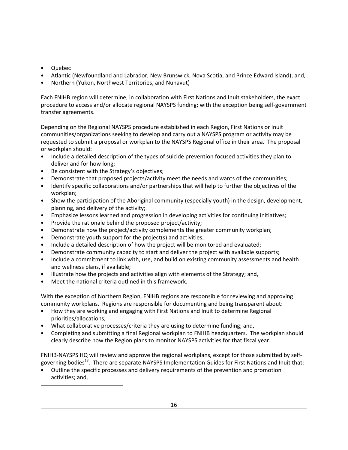• Quebec

<u>.</u>

- Atlantic (Newfoundland and Labrador, New Brunswick, Nova Scotia, and Prince Edward Island); and,
- Northern (Yukon, Northwest Territories, and Nunavut)

Each FNIHB region will determine, in collaboration with First Nations and Inuit stakeholders, the exact procedure to access and/or allocate regional NAYSPS funding; with the exception being self-government transfer agreements.

Depending on the Regional NAYSPS procedure established in each Region, First Nations or Inuit communities/organizations seeking to develop and carry out a NAYSPS program or activity may be requested to submit a proposal or workplan to the NAYSPS Regional office in their area. The proposal or workplan should:

- Include a detailed description of the types of suicide prevention focused activities they plan to deliver and for how long;
- Be consistent with the Strategy's objectives;
- Demonstrate that proposed projects/activity meet the needs and wants of the communities;
- Identify specific collaborations and/or partnerships that will help to further the objectives of the workplan;
- Show the participation of the Aboriginal community (especially youth) in the design, development, planning, and delivery of the activity;
- Emphasize lessons learned and progression in developing activities for continuing initiatives;
- Provide the rationale behind the proposed project/activity;
- Demonstrate how the project/activity complements the greater community workplan;
- Demonstrate youth support for the project(s) and activities;
- Include a detailed description of how the project will be monitored and evaluated;
- Demonstrate community capacity to start and deliver the project with available supports;
- Include a commitment to link with, use, and build on existing community assessments and health and wellness plans, if available;
- Illustrate how the projects and activities align with elements of the Strategy; and,
- Meet the national criteria outlined in this framework.

With the exception of Northern Region, FNIHB regions are responsible for reviewing and approving community workplans. Regions are responsible for documenting and being transparent about:

- How they are working and engaging with First Nations and Inuit to determine Regional priorities/allocations;
- What collaborative processes/criteria they are using to determine funding; and,
- Completing and submitting a final Regional workplan to FNIHB headquarters. The workplan should clearly describe how the Region plans to monitor NAYSPS activities for that fiscal year.

FNIHB-NAYSPS HQ will review and approve the regional workplans, except for those submitted by selfgoverning bodies<sup>18</sup>. There are separate NAYSPS Implementation Guides for First Nations and Inuit that:

• Outline the specific processes and delivery requirements of the prevention and promotion activities; and,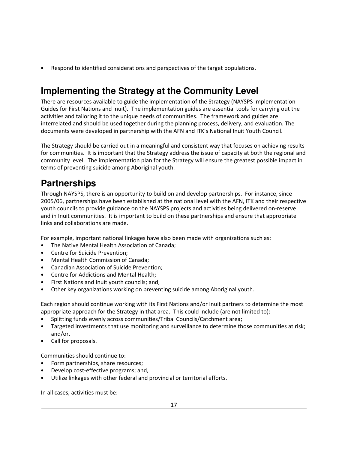• Respond to identified considerations and perspectives of the target populations.

## **Implementing the Strategy at the Community Level**

There are resources available to guide the implementation of the Strategy (NAYSPS Implementation Guides for First Nations and Inuit). The implementation guides are essential tools for carrying out the activities and tailoring it to the unique needs of communities. The framework and guides are interrelated and should be used together during the planning process, delivery, and evaluation. The documents were developed in partnership with the AFN and ITK's National Inuit Youth Council.

The Strategy should be carried out in a meaningful and consistent way that focuses on achieving results for communities. It is important that the Strategy address the issue of capacity at both the regional and community level. The implementation plan for the Strategy will ensure the greatest possible impact in terms of preventing suicide among Aboriginal youth.

### **Partnerships**

Through NAYSPS, there is an opportunity to build on and develop partnerships. For instance, since 2005/06, partnerships have been established at the national level with the AFN, ITK and their respective youth councils to provide guidance on the NAYSPS projects and activities being delivered on-reserve and in Inuit communities. It is important to build on these partnerships and ensure that appropriate links and collaborations are made.

For example, important national linkages have also been made with organizations such as:

- The Native Mental Health Association of Canada;
- Centre for Suicide Prevention;
- Mental Health Commission of Canada;
- Canadian Association of Suicide Prevention;
- Centre for Addictions and Mental Health;
- First Nations and Inuit youth councils; and,
- Other key organizations working on preventing suicide among Aboriginal youth.

Each region should continue working with its First Nations and/or Inuit partners to determine the most appropriate approach for the Strategy in that area. This could include (are not limited to):

- Splitting funds evenly across communities/Tribal Councils/Catchment area;
- Targeted investments that use monitoring and surveillance to determine those communities at risk; and/or,
- Call for proposals.

Communities should continue to:

- Form partnerships, share resources;
- Develop cost-effective programs; and,
- Utilize linkages with other federal and provincial or territorial efforts.

In all cases, activities must be: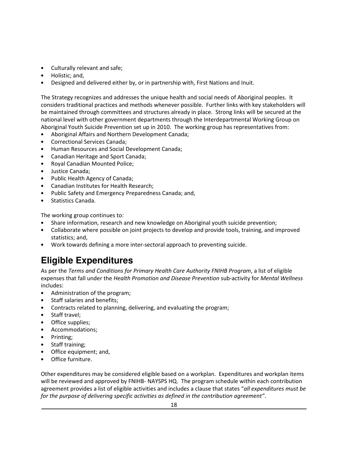- Culturally relevant and safe;
- Holistic; and,
- Designed and delivered either by, or in partnership with, First Nations and Inuit.

The Strategy recognizes and addresses the unique health and social needs of Aboriginal peoples. It considers traditional practices and methods whenever possible. Further links with key stakeholders will be maintained through committees and structures already in place. Strong links will be secured at the national level with other government departments through the Interdepartmental Working Group on Aboriginal Youth Suicide Prevention set up in 2010. The working group has representatives from:

- Aboriginal Affairs and Northern Development Canada;
- Correctional Services Canada;
- Human Resources and Social Development Canada;
- Canadian Heritage and Sport Canada;
- Royal Canadian Mounted Police;
- Justice Canada;
- Public Health Agency of Canada;
- Canadian Institutes for Health Research;
- Public Safety and Emergency Preparedness Canada; and,
- Statistics Canada.

The working group continues to:

- Share information, research and new knowledge on Aboriginal youth suicide prevention;
- Collaborate where possible on joint projects to develop and provide tools, training, and improved statistics; and,
- Work towards defining a more inter-sectoral approach to preventing suicide.

## **Eligible Expenditures**

As per the *Terms and Conditions for Primary Health Care Authority FNIHB Program*, a list of eligible expenses that fall under the *Health Promotion and Disease Prevention* sub-activity for *Mental Wellness* includes:

- Administration of the program;
- Staff salaries and benefits;
- Contracts related to planning, delivering, and evaluating the program;
- Staff travel;
- Office supplies;
- Accommodations;
- Printing;
- Staff training;
- Office equipment; and,
- Office furniture.

Other expenditures may be considered eligible based on a workplan. Expenditures and workplan items will be reviewed and approved by FNIHB- NAYSPS HQ. The program schedule within each contribution agreement provides a list of eligible activities and includes a clause that states "*all expenditures must be for the purpose of delivering specific activities as defined in the contribution agreement"*.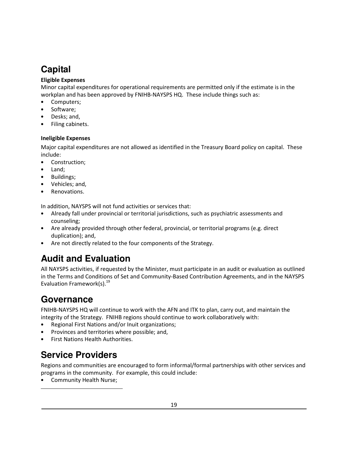### **Capital**

#### **Eligible Expenses**

Minor capital expenditures for operational requirements are permitted only if the estimate is in the workplan and has been approved by FNIHB-NAYSPS HQ. These include things such as:

- Computers;
- Software;
- Desks; and,
- Filing cabinets.

#### **Ineligible Expenses**

Major capital expenditures are not allowed as identified in the Treasury Board policy on capital. These include:

- Construction;
- Land;
- Buildings;
- Vehicles; and,
- Renovations.

In addition, NAYSPS will not fund activities or services that:

- Already fall under provincial or territorial jurisdictions, such as psychiatric assessments and counseling;
- Are already provided through other federal, provincial, or territorial programs (e.g. direct duplication); and,
- Are not directly related to the four components of the Strategy.

## **Audit and Evaluation**

All NAYSPS activities, if requested by the Minister, must participate in an audit or evaluation as outlined in the Terms and Conditions of Set and Community-Based Contribution Agreements, and in the NAYSPS Evaluation Framework(s). $^{19}$ 

### **Governance**

FNIHB-NAYSPS HQ will continue to work with the AFN and ITK to plan, carry out, and maintain the integrity of the Strategy. FNIHB regions should continue to work collaboratively with:

- Regional First Nations and/or Inuit organizations;
- Provinces and territories where possible; and,
- First Nations Health Authorities.

### **Service Providers**

Regions and communities are encouraged to form informal/formal partnerships with other services and programs in the community. For example, this could include:

• Community Health Nurse;

1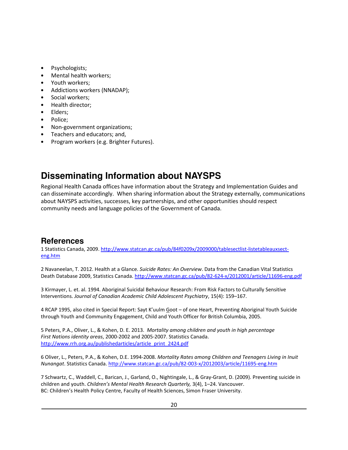- Psychologists;
- Mental health workers;
- Youth workers;
- Addictions workers (NNADAP);
- Social workers;
- Health director;
- Elders;
- Police;
- Non-government organizations;
- Teachers and educators; and,
- Program workers (e.g. Brighter Futures).

### **Disseminating Information about NAYSPS**

Regional Health Canada offices have information about the Strategy and Implementation Guides and can disseminate accordingly. When sharing information about the Strategy externally, communications about NAYSPS activities, successes, key partnerships, and other opportunities should respect community needs and language policies of the Government of Canada.

### **References**

1 Statistics Canada, 2009. http://www.statcan.gc.ca/pub/84f0209x/2009000/tablesectlist-listetableauxsecteng.htm

2 Navaneelan, T. 2012. Health at a Glance. *Suicide Rates: An Overview*. Data from the Canadian Vital Statistics Death Database 2009, Statistics Canada. http://www.statcan.gc.ca/pub/82-624-x/2012001/article/11696-eng.pdf

3 Kirmayer, L. et. al. 1994. Aboriginal Suicidal Behaviour Research: From Risk Factors to Culturally Sensitive Interventions. *Journal of Canadian Academic Child Adolescent Psychiatry*, 15(4): 159–167.

4 RCAP 1995, also cited in Special Report: Sayt K'uulm Goot – of one Heart, Preventing Aboriginal Youth Suicide through Youth and Community Engagement, Child and Youth Officer for British Columbia, 2005.

5 Peters, P.A., Oliver, L., & Kohen, D. E. 2013. *Mortality among children and youth in high percentage First Nations identity areas*, 2000-2002 and 2005-2007. Statistics Canada. http://www.rrh.org.au/publishedarticles/article\_print\_2424.pdf

6 Oliver, L., Peters, P.A., & Kohen, D.E. 1994-2008. *Mortality Rates among Children and Teenagers Living in Inuit Nunangat*. Statistics Canada. http://www.statcan.gc.ca/pub/82-003-x/2012003/article/11695-eng.htm

7 Schwartz, C., Waddell, C., Barican, J., Garland, O., Nightingale, L., & Gray-Grant, D. (2009). Preventing suicide in children and youth. *Children's Mental Health Research Quarterly,* 3(4), 1–24. Vancouver. BC: Children's Health Policy Centre, Faculty of Health Sciences, Simon Fraser University.